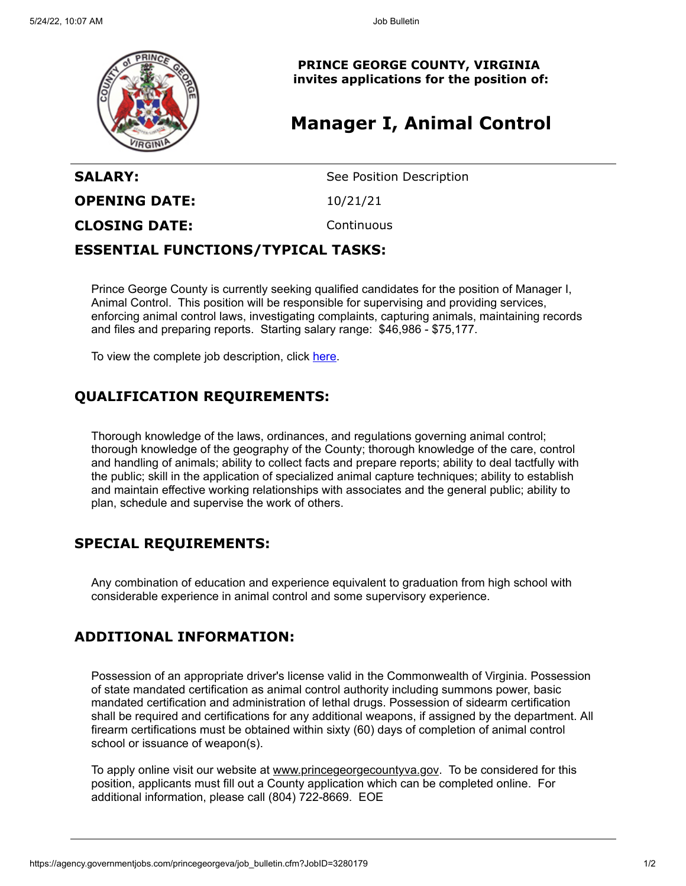

**PRINCE GEORGE COUNTY, VIRGINIA invites applications for the position of:**

# **Manager I, Animal Control**

| See Position Description |
|--------------------------|
|                          |
|                          |
|                          |

#### **ESSENTIAL FUNCTIONS/TYPICAL TASKS:**

Prince George County is currently seeking qualified candidates for the position of Manager I, Animal Control. This position will be responsible for supervising and providing services, enforcing animal control laws, investigating complaints, capturing animals, maintaining records and files and preparing reports. Starting salary range: \$46,986 - \$75,177.

To view the complete job description, click [here](https://cms1files.revize.com/princegeorgeva/MANAGER%20I,%20ANIMAL%20CONTROL_070118.pdf).

### **QUALIFICATION REQUIREMENTS:**

Thorough knowledge of the laws, ordinances, and regulations governing animal control; thorough knowledge of the geography of the County; thorough knowledge of the care, control and handling of animals; ability to collect facts and prepare reports; ability to deal tactfully with the public; skill in the application of specialized animal capture techniques; ability to establish and maintain effective working relationships with associates and the general public; ability to plan, schedule and supervise the work of others.

#### **SPECIAL REQUIREMENTS:**

Any combination of education and experience equivalent to graduation from high school with considerable experience in animal control and some supervisory experience.

#### **ADDITIONAL INFORMATION:**

Possession of an appropriate driver's license valid in the Commonwealth of Virginia. Possession of state mandated certification as animal control authority including summons power, basic mandated certification and administration of lethal drugs. Possession of sidearm certification shall be required and certifications for any additional weapons, if assigned by the department. All firearm certifications must be obtained within sixty (60) days of completion of animal control school or issuance of weapon(s).

To apply online visit our website at [www.princegeorgecountyva.gov.](http://www.princegeorgecountyva.gov/) To be considered for this position, applicants must fill out a County application which can be completed online. For additional information, please call (804) 722-8669. EOE